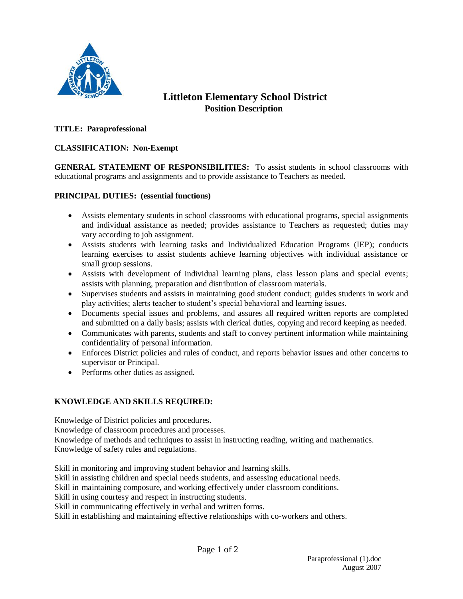

# **Littleton Elementary School District Position Description**

## **TITLE: Paraprofessional**

## **CLASSIFICATION: Non-Exempt**

**GENERAL STATEMENT OF RESPONSIBILITIES:** To assist students in school classrooms with educational programs and assignments and to provide assistance to Teachers as needed.

#### **PRINCIPAL DUTIES: (essential functions)**

- Assists elementary students in school classrooms with educational programs, special assignments and individual assistance as needed; provides assistance to Teachers as requested; duties may vary according to job assignment.
- Assists students with learning tasks and Individualized Education Programs (IEP); conducts learning exercises to assist students achieve learning objectives with individual assistance or small group sessions.
- Assists with development of individual learning plans, class lesson plans and special events; assists with planning, preparation and distribution of classroom materials.
- Supervises students and assists in maintaining good student conduct; guides students in work and play activities; alerts teacher to student's special behavioral and learning issues.
- Documents special issues and problems, and assures all required written reports are completed and submitted on a daily basis; assists with clerical duties, copying and record keeping as needed.
- Communicates with parents, students and staff to convey pertinent information while maintaining confidentiality of personal information.
- Enforces District policies and rules of conduct, and reports behavior issues and other concerns to supervisor or Principal.
- Performs other duties as assigned.

# **KNOWLEDGE AND SKILLS REQUIRED:**

Knowledge of District policies and procedures.

Knowledge of classroom procedures and processes.

Knowledge of methods and techniques to assist in instructing reading, writing and mathematics. Knowledge of safety rules and regulations.

Skill in monitoring and improving student behavior and learning skills.

Skill in assisting children and special needs students, and assessing educational needs.

Skill in maintaining composure, and working effectively under classroom conditions.

Skill in using courtesy and respect in instructing students.

Skill in communicating effectively in verbal and written forms.

Skill in establishing and maintaining effective relationships with co-workers and others.